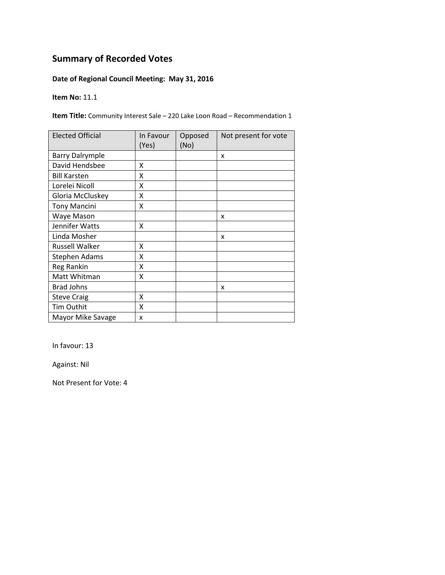### **Date of Regional Council Meeting: May 31, 2016**

#### **Item No:** 11.1

**Item Title:** Community Interest Sale – 220 Lake Loon Road – Recommendation 1

| <b>Elected Official</b> | In Favour<br>(Yes) | Opposed<br>(No) | Not present for vote |
|-------------------------|--------------------|-----------------|----------------------|
| <b>Barry Dalrymple</b>  |                    |                 | X                    |
| David Hendsbee          | X                  |                 |                      |
| <b>Bill Karsten</b>     | Χ                  |                 |                      |
| Lorelei Nicoll          | Χ                  |                 |                      |
| Gloria McCluskey        | Χ                  |                 |                      |
| <b>Tony Mancini</b>     | Χ                  |                 |                      |
| Waye Mason              |                    |                 | x                    |
| Jennifer Watts          | x                  |                 |                      |
| Linda Mosher            |                    |                 | x                    |
| <b>Russell Walker</b>   | χ                  |                 |                      |
| Stephen Adams           | Χ                  |                 |                      |
| Reg Rankin              | Χ                  |                 |                      |
| Matt Whitman            | Χ                  |                 |                      |
| <b>Brad Johns</b>       |                    |                 | x                    |
| <b>Steve Craig</b>      | X                  |                 |                      |
| Tim Outhit              | Χ                  |                 |                      |
| Mayor Mike Savage       | x                  |                 |                      |

In favour: 13

Against: Nil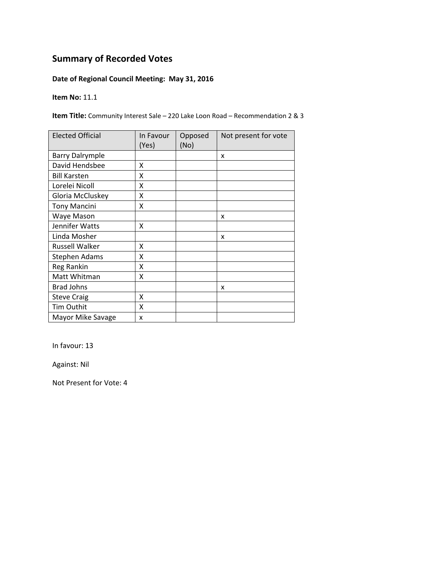### **Date of Regional Council Meeting: May 31, 2016**

#### **Item No:** 11.1

**Item Title:** Community Interest Sale – 220 Lake Loon Road – Recommendation 2 & 3

| <b>Elected Official</b> | In Favour<br>(Yes) | Opposed<br>(No) | Not present for vote |
|-------------------------|--------------------|-----------------|----------------------|
| <b>Barry Dalrymple</b>  |                    |                 | X                    |
| David Hendsbee          | X                  |                 |                      |
| <b>Bill Karsten</b>     | Χ                  |                 |                      |
| Lorelei Nicoll          | Χ                  |                 |                      |
| Gloria McCluskey        | Χ                  |                 |                      |
| <b>Tony Mancini</b>     | Χ                  |                 |                      |
| Waye Mason              |                    |                 | x                    |
| Jennifer Watts          | x                  |                 |                      |
| Linda Mosher            |                    |                 | x                    |
| <b>Russell Walker</b>   | χ                  |                 |                      |
| Stephen Adams           | Χ                  |                 |                      |
| Reg Rankin              | Χ                  |                 |                      |
| Matt Whitman            | Χ                  |                 |                      |
| <b>Brad Johns</b>       |                    |                 | x                    |
| <b>Steve Craig</b>      | X                  |                 |                      |
| Tim Outhit              | Χ                  |                 |                      |
| Mayor Mike Savage       | x                  |                 |                      |

In favour: 13

Against: Nil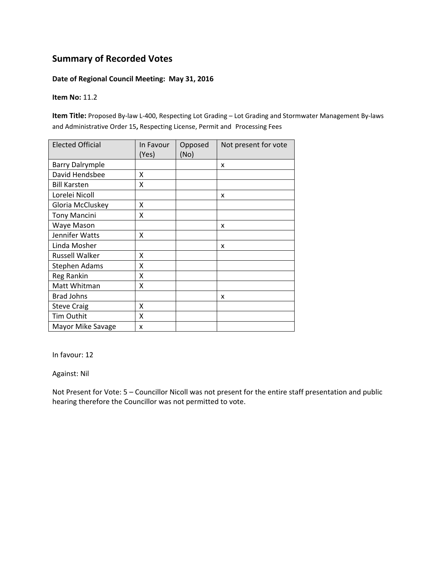#### **Date of Regional Council Meeting: May 31, 2016**

#### **Item No:** 11.2

**Item Title:** Proposed By‐law L‐400, Respecting Lot Grading – Lot Grading and Stormwater Management By‐laws and Administrative Order 15**,** Respecting License, Permit and Processing Fees

| <b>Elected Official</b> | In Favour<br>(Yes) | Opposed<br>(No) | Not present for vote |
|-------------------------|--------------------|-----------------|----------------------|
| <b>Barry Dalrymple</b>  |                    |                 | x                    |
| David Hendsbee          | x                  |                 |                      |
| <b>Bill Karsten</b>     | X                  |                 |                      |
| Lorelei Nicoll          |                    |                 | x                    |
| Gloria McCluskey        | x                  |                 |                      |
| <b>Tony Mancini</b>     | x                  |                 |                      |
| Waye Mason              |                    |                 | x                    |
| Jennifer Watts          | Χ                  |                 |                      |
| Linda Mosher            |                    |                 | X                    |
| <b>Russell Walker</b>   | x                  |                 |                      |
| <b>Stephen Adams</b>    | X                  |                 |                      |
| Reg Rankin              | X                  |                 |                      |
| Matt Whitman            | X                  |                 |                      |
| <b>Brad Johns</b>       |                    |                 | x                    |
| <b>Steve Craig</b>      | X                  |                 |                      |
| Tim Outhit              | X                  |                 |                      |
| Mayor Mike Savage       | x                  |                 |                      |

In favour: 12

Against: Nil

Not Present for Vote: 5 – Councillor Nicoll was not present for the entire staff presentation and public hearing therefore the Councillor was not permitted to vote.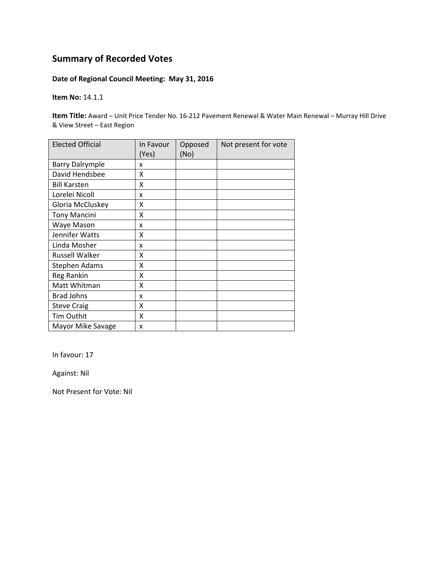### **Date of Regional Council Meeting: May 31, 2016**

**Item No:** 14.1.1

**Item Title:** Award – Unit Price Tender No. 16‐212 Pavement Renewal & Water Main Renewal – Murray Hill Drive & View Street – East Region

| <b>Elected Official</b> | In Favour<br>(Yes) | Opposed<br>(No) | Not present for vote |
|-------------------------|--------------------|-----------------|----------------------|
| <b>Barry Dalrymple</b>  | x                  |                 |                      |
| David Hendsbee          | Χ                  |                 |                      |
| <b>Bill Karsten</b>     | Χ                  |                 |                      |
| Lorelei Nicoll          | x                  |                 |                      |
| Gloria McCluskey        | Χ                  |                 |                      |
| <b>Tony Mancini</b>     | Χ                  |                 |                      |
| Waye Mason              | x                  |                 |                      |
| Jennifer Watts          | X                  |                 |                      |
| Linda Mosher            | x                  |                 |                      |
| <b>Russell Walker</b>   | Χ                  |                 |                      |
| <b>Stephen Adams</b>    | Χ                  |                 |                      |
| Reg Rankin              | Χ                  |                 |                      |
| Matt Whitman            | Χ                  |                 |                      |
| <b>Brad Johns</b>       | x                  |                 |                      |
| <b>Steve Craig</b>      | Χ                  |                 |                      |
| Tim Outhit              | X                  |                 |                      |
| Mayor Mike Savage       | x                  |                 |                      |

In favour: 17

Against: Nil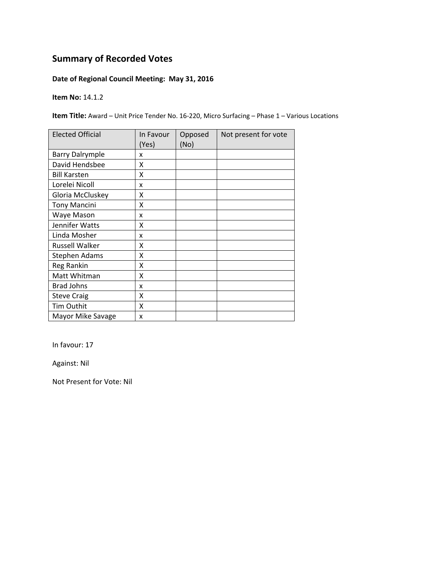### **Date of Regional Council Meeting: May 31, 2016**

**Item No:** 14.1.2

**Item Title:** Award – Unit Price Tender No. 16‐220, Micro Surfacing – Phase 1 – Various Locations

| <b>Elected Official</b> | In Favour<br>(Yes) | Opposed<br>(No) | Not present for vote |
|-------------------------|--------------------|-----------------|----------------------|
| <b>Barry Dalrymple</b>  | x                  |                 |                      |
| David Hendsbee          | x                  |                 |                      |
| <b>Bill Karsten</b>     | x                  |                 |                      |
| Lorelei Nicoll          | x                  |                 |                      |
| Gloria McCluskey        | Χ                  |                 |                      |
| <b>Tony Mancini</b>     | Χ                  |                 |                      |
| Waye Mason              | x                  |                 |                      |
| Jennifer Watts          | x                  |                 |                      |
| Linda Mosher            | x                  |                 |                      |
| <b>Russell Walker</b>   | x                  |                 |                      |
| <b>Stephen Adams</b>    | X                  |                 |                      |
| Reg Rankin              | X                  |                 |                      |
| Matt Whitman            | X                  |                 |                      |
| <b>Brad Johns</b>       | x                  |                 |                      |
| <b>Steve Craig</b>      | X                  |                 |                      |
| Tim Outhit              | X                  |                 |                      |
| Mayor Mike Savage       | x                  |                 |                      |

In favour: 17

Against: Nil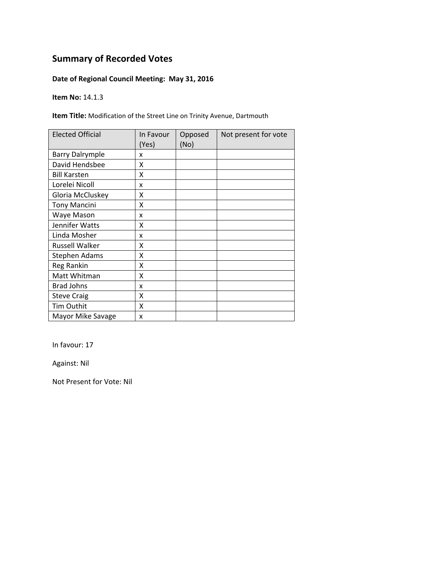### **Date of Regional Council Meeting: May 31, 2016**

**Item No:** 14.1.3

**Item Title:** Modification of the Street Line on Trinity Avenue, Dartmouth

| <b>Elected Official</b> | In Favour<br>(Yes) | Opposed<br>(No) | Not present for vote |
|-------------------------|--------------------|-----------------|----------------------|
| <b>Barry Dalrymple</b>  | x                  |                 |                      |
| David Hendsbee          | X                  |                 |                      |
| <b>Bill Karsten</b>     | X                  |                 |                      |
| Lorelei Nicoll          | X                  |                 |                      |
| Gloria McCluskey        | X                  |                 |                      |
| <b>Tony Mancini</b>     | Χ                  |                 |                      |
| Waye Mason              | x                  |                 |                      |
| Jennifer Watts          | Χ                  |                 |                      |
| Linda Mosher            | x                  |                 |                      |
| Russell Walker          | x                  |                 |                      |
| Stephen Adams           | X                  |                 |                      |
| Reg Rankin              | X                  |                 |                      |
| Matt Whitman            | X                  |                 |                      |
| <b>Brad Johns</b>       | x                  |                 |                      |
| <b>Steve Craig</b>      | X                  |                 |                      |
| Tim Outhit              | X                  |                 |                      |
| Mayor Mike Savage       | x                  |                 |                      |

In favour: 17

Against: Nil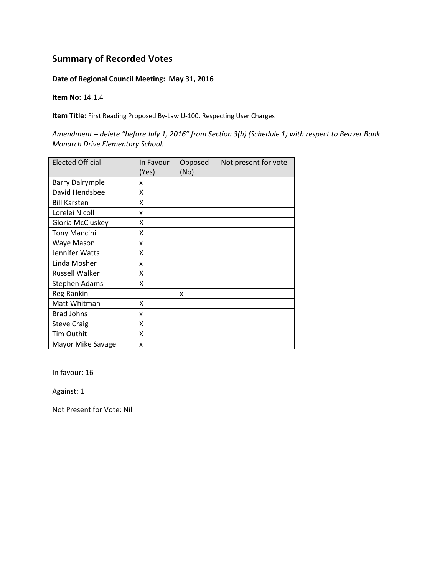#### **Date of Regional Council Meeting: May 31, 2016**

**Item No:** 14.1.4

**Item Title:** First Reading Proposed By‐Law U‐100, Respecting User Charges

*Amendment – delete "before July 1, 2016" from Section 3(h) (Schedule 1) with respect to Beaver Bank Monarch Drive Elementary School.* 

| <b>Elected Official</b> | In Favour<br>(Yes) | Opposed<br>(No) | Not present for vote |
|-------------------------|--------------------|-----------------|----------------------|
| <b>Barry Dalrymple</b>  | x                  |                 |                      |
| David Hendsbee          | Χ                  |                 |                      |
| <b>Bill Karsten</b>     | Χ                  |                 |                      |
| Lorelei Nicoll          | x                  |                 |                      |
| Gloria McCluskey        | Χ                  |                 |                      |
| <b>Tony Mancini</b>     | Χ                  |                 |                      |
| Waye Mason              | x                  |                 |                      |
| Jennifer Watts          | x                  |                 |                      |
| Linda Mosher            | x                  |                 |                      |
| <b>Russell Walker</b>   | x                  |                 |                      |
| <b>Stephen Adams</b>    | X                  |                 |                      |
| Reg Rankin              |                    | x               |                      |
| Matt Whitman            | x                  |                 |                      |
| <b>Brad Johns</b>       | x                  |                 |                      |
| <b>Steve Craig</b>      | X                  |                 |                      |
| Tim Outhit              | X                  |                 |                      |
| Mayor Mike Savage       | x                  |                 |                      |

In favour: 16

Against: 1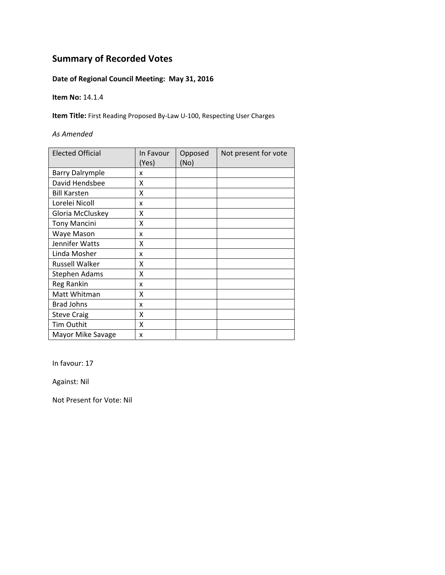### **Date of Regional Council Meeting: May 31, 2016**

**Item No:** 14.1.4

**Item Title:** First Reading Proposed By‐Law U‐100, Respecting User Charges

#### *As Amended*

| <b>Elected Official</b> | In Favour<br>(Yes) | Opposed<br>(No) | Not present for vote |
|-------------------------|--------------------|-----------------|----------------------|
| <b>Barry Dalrymple</b>  | x                  |                 |                      |
| David Hendsbee          | x                  |                 |                      |
| <b>Bill Karsten</b>     | X                  |                 |                      |
| Lorelei Nicoll          | x                  |                 |                      |
| Gloria McCluskey        | X                  |                 |                      |
| <b>Tony Mancini</b>     | X                  |                 |                      |
| Waye Mason              | x                  |                 |                      |
| Jennifer Watts          | χ                  |                 |                      |
| Linda Mosher            | x                  |                 |                      |
| <b>Russell Walker</b>   | x                  |                 |                      |
| <b>Stephen Adams</b>    | X                  |                 |                      |
| <b>Reg Rankin</b>       | x                  |                 |                      |
| Matt Whitman            | X                  |                 |                      |
| <b>Brad Johns</b>       | x                  |                 |                      |
| <b>Steve Craig</b>      | Χ                  |                 |                      |
| Tim Outhit              | X                  |                 |                      |
| Mayor Mike Savage       | x                  |                 |                      |

In favour: 17

Against: Nil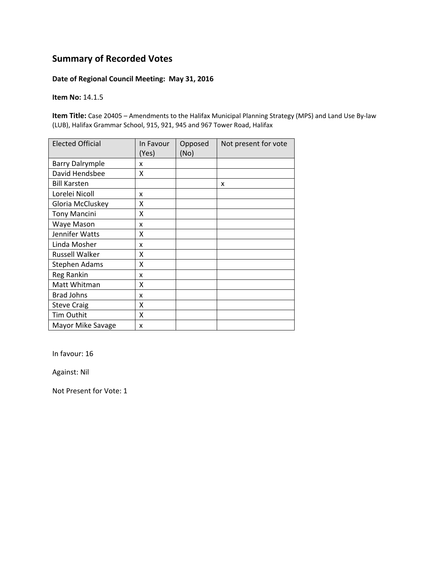#### **Date of Regional Council Meeting: May 31, 2016**

#### **Item No:** 14.1.5

**Item Title:** Case 20405 – Amendments to the Halifax Municipal Planning Strategy (MPS) and Land Use By‐law (LUB), Halifax Grammar School, 915, 921, 945 and 967 Tower Road, Halifax

| <b>Elected Official</b> | In Favour<br>(Yes) | Opposed<br>(No) | Not present for vote |
|-------------------------|--------------------|-----------------|----------------------|
| <b>Barry Dalrymple</b>  | x                  |                 |                      |
| David Hendsbee          | x                  |                 |                      |
| <b>Bill Karsten</b>     |                    |                 | X                    |
| Lorelei Nicoll          | x                  |                 |                      |
| Gloria McCluskey        | X                  |                 |                      |
| <b>Tony Mancini</b>     | X                  |                 |                      |
| Waye Mason              | x                  |                 |                      |
| Jennifer Watts          | X                  |                 |                      |
| Linda Mosher            | x                  |                 |                      |
| <b>Russell Walker</b>   | Χ                  |                 |                      |
| <b>Stephen Adams</b>    | X                  |                 |                      |
| Reg Rankin              | x                  |                 |                      |
| Matt Whitman            | χ                  |                 |                      |
| <b>Brad Johns</b>       | x                  |                 |                      |
| <b>Steve Craig</b>      | X                  |                 |                      |
| Tim Outhit              | X                  |                 |                      |
| Mayor Mike Savage       | x                  |                 |                      |

In favour: 16

Against: Nil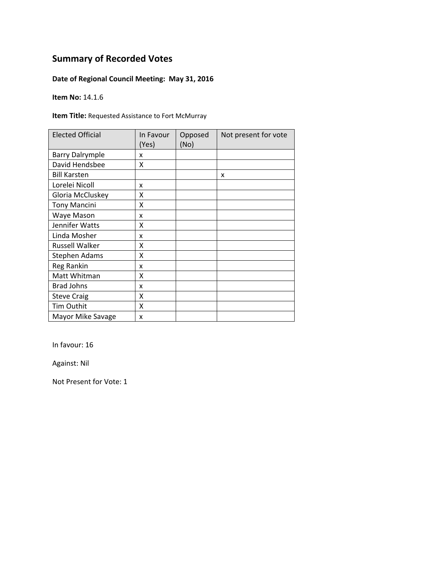### **Date of Regional Council Meeting: May 31, 2016**

**Item No:** 14.1.6

**Item Title:** Requested Assistance to Fort McMurray

| <b>Elected Official</b> | In Favour<br>(Yes) | Opposed<br>(No) | Not present for vote |
|-------------------------|--------------------|-----------------|----------------------|
| <b>Barry Dalrymple</b>  | x                  |                 |                      |
| David Hendsbee          | X                  |                 |                      |
| <b>Bill Karsten</b>     |                    |                 | X                    |
| Lorelei Nicoll          | x                  |                 |                      |
| Gloria McCluskey        | x                  |                 |                      |
| <b>Tony Mancini</b>     | x                  |                 |                      |
| Waye Mason              | x                  |                 |                      |
| Jennifer Watts          | x                  |                 |                      |
| Linda Mosher            | x                  |                 |                      |
| <b>Russell Walker</b>   | χ                  |                 |                      |
| Stephen Adams           | Χ                  |                 |                      |
| Reg Rankin              | x                  |                 |                      |
| Matt Whitman            | X                  |                 |                      |
| <b>Brad Johns</b>       | x                  |                 |                      |
| <b>Steve Craig</b>      | X                  |                 |                      |
| Tim Outhit              | X                  |                 |                      |
| Mayor Mike Savage       | x                  |                 |                      |

In favour: 16

Against: Nil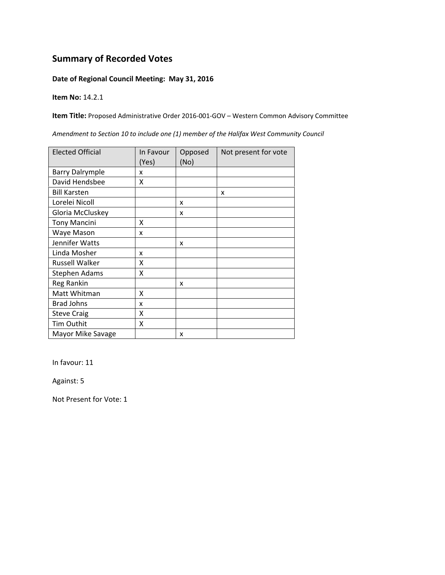#### **Date of Regional Council Meeting: May 31, 2016**

**Item No:** 14.2.1

**Item Title:** Proposed Administrative Order 2016‐001‐GOV – Western Common Advisory Committee

Elected Official | In Favour (Yes) Opposed (No) Not present for vote Barry Dalrymple x David Hendsbee X Bill Karsten **1 and 1** x Lorelei Nicoll  $\vert x \vert$ Gloria McCluskey  $\vert x \vert$ Tony Mancini X Waye Mason x Jennifer Watts  $\vert x \vert$ Linda Mosher x Russell Walker X Stephen Adams X Reg Rankin  $\vert x \vert$ Matt Whitman X Brad Johns  $\vert x \vert$ Steve Craig X Tim Outhit X Mayor Mike Savage  $\vert x \vert$ 

*Amendment to Section 10 to include one (1) member of the Halifax West Community Council*

In favour: 11

Against: 5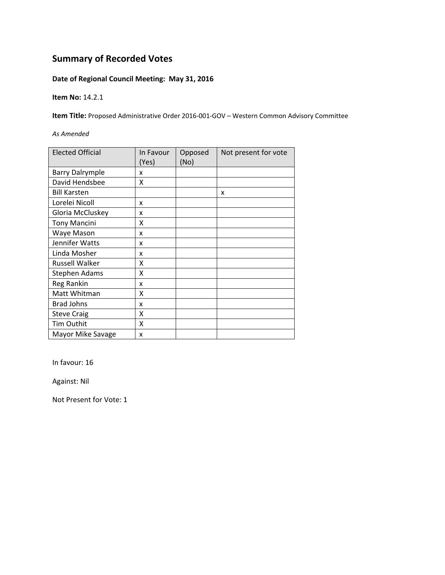### **Date of Regional Council Meeting: May 31, 2016**

**Item No:** 14.2.1

**Item Title:** Proposed Administrative Order 2016‐001‐GOV – Western Common Advisory Committee

*As Amended*

| <b>Elected Official</b> | In Favour<br>(Yes) | Opposed<br>(No) | Not present for vote |
|-------------------------|--------------------|-----------------|----------------------|
| <b>Barry Dalrymple</b>  | x                  |                 |                      |
| David Hendsbee          | x                  |                 |                      |
| <b>Bill Karsten</b>     |                    |                 | x                    |
| Lorelei Nicoll          | x                  |                 |                      |
| Gloria McCluskey        | x                  |                 |                      |
| <b>Tony Mancini</b>     | x                  |                 |                      |
| Waye Mason              | x                  |                 |                      |
| Jennifer Watts          | x                  |                 |                      |
| Linda Mosher            | x                  |                 |                      |
| <b>Russell Walker</b>   | х                  |                 |                      |
| Stephen Adams           | Χ                  |                 |                      |
| <b>Reg Rankin</b>       | x                  |                 |                      |
| Matt Whitman            | X                  |                 |                      |
| <b>Brad Johns</b>       | x                  |                 |                      |
| <b>Steve Craig</b>      | Χ                  |                 |                      |
| Tim Outhit              | X                  |                 |                      |
| Mayor Mike Savage       | x                  |                 |                      |

In favour: 16

Against: Nil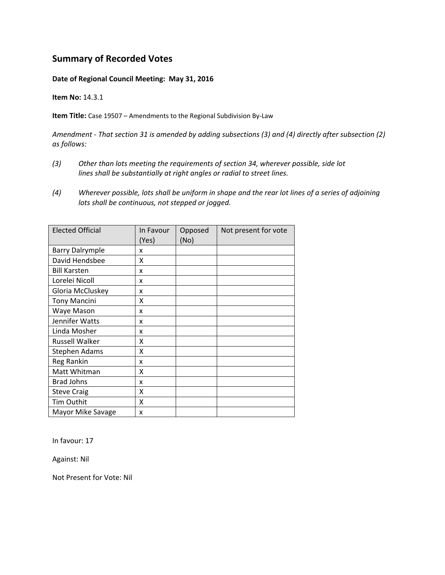#### **Date of Regional Council Meeting: May 31, 2016**

**Item No:** 14.3.1

**Item Title:** Case 19507 – Amendments to the Regional Subdivision By‐Law

*Amendment ‐ That section 31 is amended by adding subsections (3) and (4) directly after subsection (2) as follows:*

- *(3) Other than lots meeting the requirements of section 34, wherever possible, side lot lines shall be substantially at right angles or radial to street lines.*
- (4) Wherever possible, lots shall be uniform in shape and the rear lot lines of a series of adjoining *lots shall be continuous, not stepped or jogged.*

| <b>Elected Official</b> | In Favour<br>(Yes) | Opposed<br>(No) | Not present for vote |
|-------------------------|--------------------|-----------------|----------------------|
| <b>Barry Dalrymple</b>  | x                  |                 |                      |
| David Hendsbee          | Χ                  |                 |                      |
| <b>Bill Karsten</b>     | x                  |                 |                      |
| Lorelei Nicoll          | x                  |                 |                      |
| Gloria McCluskey        | x                  |                 |                      |
| <b>Tony Mancini</b>     | x                  |                 |                      |
| Waye Mason              | x                  |                 |                      |
| Jennifer Watts          | x                  |                 |                      |
| Linda Mosher            | x                  |                 |                      |
| <b>Russell Walker</b>   | x                  |                 |                      |
| Stephen Adams           | X                  |                 |                      |
| Reg Rankin              | x                  |                 |                      |
| Matt Whitman            | X                  |                 |                      |
| <b>Brad Johns</b>       | x                  |                 |                      |
| <b>Steve Craig</b>      | X                  |                 |                      |
| Tim Outhit              | x                  |                 |                      |
| Mayor Mike Savage       | x                  |                 |                      |

In favour: 17

Against: Nil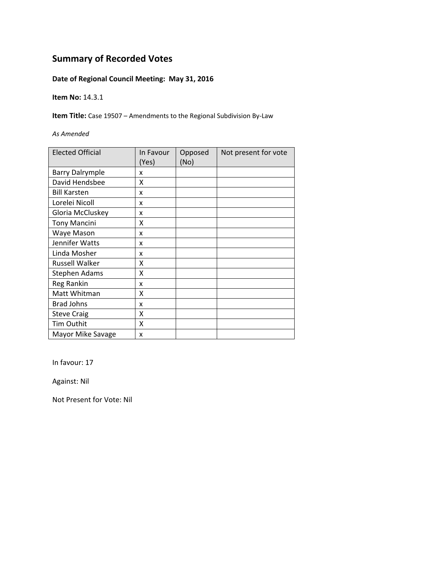### **Date of Regional Council Meeting: May 31, 2016**

**Item No:** 14.3.1

**Item Title:** Case 19507 – Amendments to the Regional Subdivision By‐Law

*As Amended*

| <b>Elected Official</b> | In Favour<br>(Yes) | Opposed<br>(No) | Not present for vote |
|-------------------------|--------------------|-----------------|----------------------|
| <b>Barry Dalrymple</b>  | x                  |                 |                      |
| David Hendsbee          | X                  |                 |                      |
| <b>Bill Karsten</b>     | x                  |                 |                      |
| Lorelei Nicoll          | x                  |                 |                      |
| Gloria McCluskey        | x                  |                 |                      |
| <b>Tony Mancini</b>     | Χ                  |                 |                      |
| Waye Mason              | x                  |                 |                      |
| Jennifer Watts          | x                  |                 |                      |
| Linda Mosher            | x                  |                 |                      |
| <b>Russell Walker</b>   | Χ                  |                 |                      |
| Stephen Adams           | χ                  |                 |                      |
| Reg Rankin              | x                  |                 |                      |
| Matt Whitman            | χ                  |                 |                      |
| <b>Brad Johns</b>       | x                  |                 |                      |
| <b>Steve Craig</b>      | Χ                  |                 |                      |
| <b>Tim Outhit</b>       | Χ                  |                 |                      |
| Mayor Mike Savage       | x                  |                 |                      |

In favour: 17

Against: Nil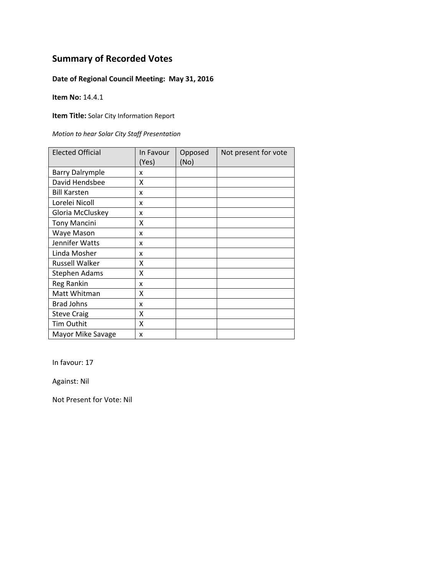### **Date of Regional Council Meeting: May 31, 2016**

**Item No:** 14.4.1

**Item Title:** Solar City Information Report

*Motion to hear Solar City Staff Presentation*

| <b>Elected Official</b> | In Favour<br>(Yes) | Opposed<br>(No) | Not present for vote |
|-------------------------|--------------------|-----------------|----------------------|
| <b>Barry Dalrymple</b>  | x                  |                 |                      |
| David Hendsbee          | X                  |                 |                      |
| <b>Bill Karsten</b>     | x                  |                 |                      |
| Lorelei Nicoll          | x                  |                 |                      |
| Gloria McCluskey        | x                  |                 |                      |
| <b>Tony Mancini</b>     | Χ                  |                 |                      |
| Waye Mason              | x                  |                 |                      |
| Jennifer Watts          | x                  |                 |                      |
| Linda Mosher            | x                  |                 |                      |
| <b>Russell Walker</b>   | χ                  |                 |                      |
| <b>Stephen Adams</b>    | x                  |                 |                      |
| Reg Rankin              | x                  |                 |                      |
| Matt Whitman            | χ                  |                 |                      |
| <b>Brad Johns</b>       | x                  |                 |                      |
| <b>Steve Craig</b>      | Χ                  |                 |                      |
| <b>Tim Outhit</b>       | Χ                  |                 |                      |
| Mayor Mike Savage       | x                  |                 |                      |

In favour: 17

Against: Nil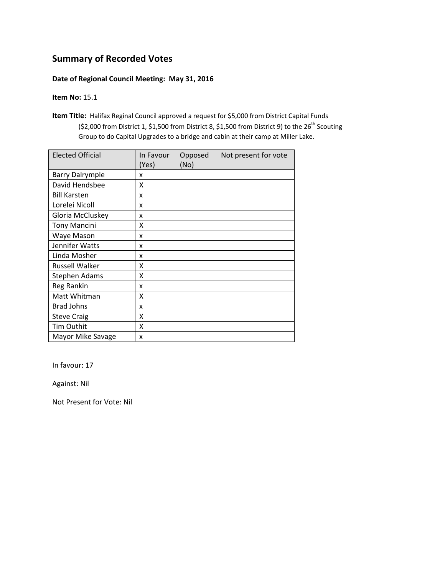#### **Date of Regional Council Meeting: May 31, 2016**

#### **Item No:** 15.1

**Item Title:** Halifax Reginal Council approved a request for \$5,000 from District Capital Funds (\$2,000 from District 1, \$1,500 from District 8, \$1,500 from District 9) to the  $26^{th}$  Scouting Group to do Capital Upgrades to a bridge and cabin at their camp at Miller Lake.

| <b>Elected Official</b> | In Favour<br>(Yes) | Opposed<br>(No) | Not present for vote |
|-------------------------|--------------------|-----------------|----------------------|
| <b>Barry Dalrymple</b>  | x                  |                 |                      |
| David Hendsbee          | x                  |                 |                      |
| <b>Bill Karsten</b>     | x                  |                 |                      |
| Lorelei Nicoll          | x                  |                 |                      |
| Gloria McCluskey        | x                  |                 |                      |
| <b>Tony Mancini</b>     | x                  |                 |                      |
| Waye Mason              | x                  |                 |                      |
| Jennifer Watts          | x                  |                 |                      |
| Linda Mosher            | x                  |                 |                      |
| <b>Russell Walker</b>   | x                  |                 |                      |
| <b>Stephen Adams</b>    | X                  |                 |                      |
| Reg Rankin              | x                  |                 |                      |
| Matt Whitman            | X                  |                 |                      |
| <b>Brad Johns</b>       | x                  |                 |                      |
| <b>Steve Craig</b>      | x                  |                 |                      |
| Tim Outhit              | x                  |                 |                      |
| Mayor Mike Savage       | x                  |                 |                      |

In favour: 17

Against: Nil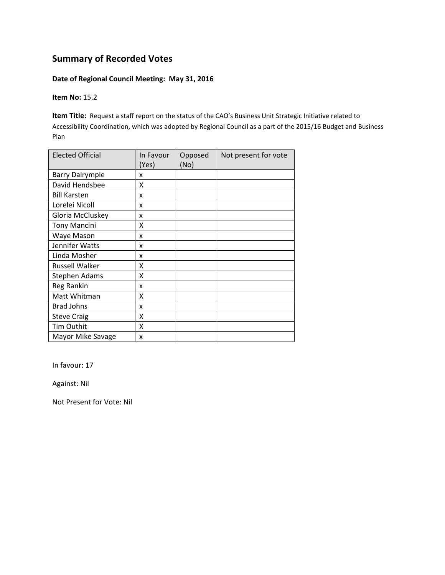#### **Date of Regional Council Meeting: May 31, 2016**

**Item No:** 15.2

**Item Title:** Request a staff report on the status of the CAO's Business Unit Strategic Initiative related to Accessibility Coordination, which was adopted by Regional Council as a part of the 2015/16 Budget and Business Plan

| <b>Elected Official</b> | In Favour<br>(Yes) | Opposed<br>(No) | Not present for vote |
|-------------------------|--------------------|-----------------|----------------------|
| <b>Barry Dalrymple</b>  | x                  |                 |                      |
| David Hendsbee          | X                  |                 |                      |
| <b>Bill Karsten</b>     | x                  |                 |                      |
| Lorelei Nicoll          | x                  |                 |                      |
| Gloria McCluskey        | x                  |                 |                      |
| <b>Tony Mancini</b>     | χ                  |                 |                      |
| Waye Mason              | x                  |                 |                      |
| Jennifer Watts          | x                  |                 |                      |
| Linda Mosher            | x                  |                 |                      |
| <b>Russell Walker</b>   | X                  |                 |                      |
| Stephen Adams           | X                  |                 |                      |
| <b>Reg Rankin</b>       | x                  |                 |                      |
| Matt Whitman            | x                  |                 |                      |
| <b>Brad Johns</b>       | x                  |                 |                      |
| <b>Steve Craig</b>      | X                  |                 |                      |
| <b>Tim Outhit</b>       | X                  |                 |                      |
| Mayor Mike Savage       | x                  |                 |                      |

In favour: 17

Against: Nil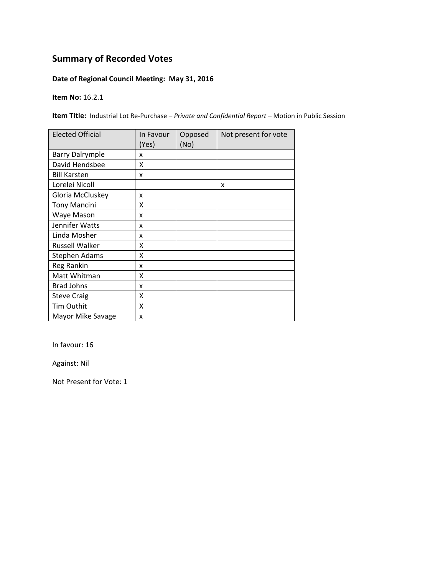### **Date of Regional Council Meeting: May 31, 2016**

**Item No:** 16.2.1

**Item Title:** Industrial Lot Re‐Purchase *– Private and Confidential Report –* Motion in Public Session

| <b>Elected Official</b> | In Favour<br>(Yes) | Opposed<br>(No) | Not present for vote |
|-------------------------|--------------------|-----------------|----------------------|
| <b>Barry Dalrymple</b>  | x                  |                 |                      |
| David Hendsbee          | X                  |                 |                      |
| <b>Bill Karsten</b>     | x                  |                 |                      |
| Lorelei Nicoll          |                    |                 | x                    |
| Gloria McCluskey        | x                  |                 |                      |
| <b>Tony Mancini</b>     | x                  |                 |                      |
| Waye Mason              | x                  |                 |                      |
| Jennifer Watts          | x                  |                 |                      |
| Linda Mosher            | x                  |                 |                      |
| <b>Russell Walker</b>   | X                  |                 |                      |
| <b>Stephen Adams</b>    | X                  |                 |                      |
| Reg Rankin              | x                  |                 |                      |
| Matt Whitman            | X                  |                 |                      |
| <b>Brad Johns</b>       | x                  |                 |                      |
| <b>Steve Craig</b>      | X                  |                 |                      |
| Tim Outhit              | X                  |                 |                      |
| Mayor Mike Savage       | x                  |                 |                      |

In favour: 16

Against: Nil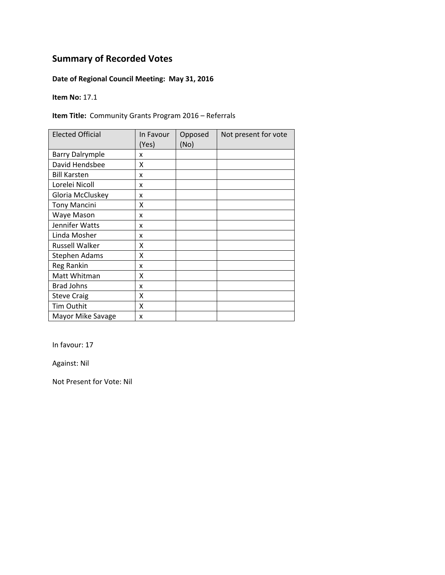### **Date of Regional Council Meeting: May 31, 2016**

**Item No:** 17.1

#### **Item Title:** Community Grants Program 2016 – Referrals

| <b>Elected Official</b> | In Favour<br>(Yes) | Opposed<br>(No) | Not present for vote |
|-------------------------|--------------------|-----------------|----------------------|
| <b>Barry Dalrymple</b>  | x                  |                 |                      |
| David Hendsbee          | X                  |                 |                      |
| <b>Bill Karsten</b>     | X                  |                 |                      |
| Lorelei Nicoll          | X                  |                 |                      |
| Gloria McCluskey        | X                  |                 |                      |
| <b>Tony Mancini</b>     | X                  |                 |                      |
| Waye Mason              | X                  |                 |                      |
| Jennifer Watts          | x                  |                 |                      |
| Linda Mosher            | X                  |                 |                      |
| <b>Russell Walker</b>   | x                  |                 |                      |
| <b>Stephen Adams</b>    | Χ                  |                 |                      |
| Reg Rankin              | x                  |                 |                      |
| Matt Whitman            | x                  |                 |                      |
| <b>Brad Johns</b>       | x                  |                 |                      |
| <b>Steve Craig</b>      | Χ                  |                 |                      |
| Tim Outhit              | X                  |                 |                      |
| Mayor Mike Savage       | X                  |                 |                      |

In favour: 17

Against: Nil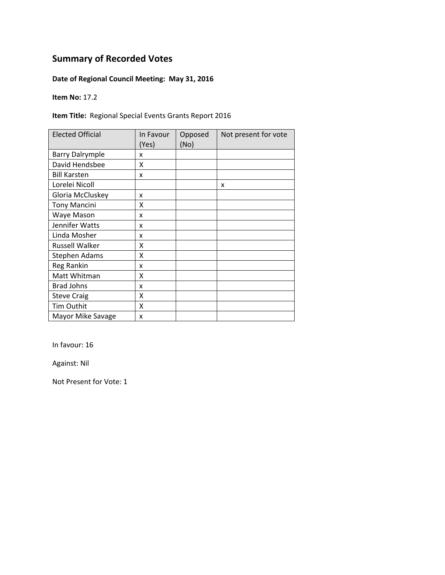### **Date of Regional Council Meeting: May 31, 2016**

**Item No:** 17.2

#### **Item Title:** Regional Special Events Grants Report 2016

| <b>Elected Official</b> | In Favour<br>(Yes) | Opposed<br>(No) | Not present for vote |
|-------------------------|--------------------|-----------------|----------------------|
| <b>Barry Dalrymple</b>  | x                  |                 |                      |
| David Hendsbee          | X                  |                 |                      |
| <b>Bill Karsten</b>     | X                  |                 |                      |
| Lorelei Nicoll          |                    |                 | x                    |
| Gloria McCluskey        | X                  |                 |                      |
| <b>Tony Mancini</b>     | X                  |                 |                      |
| Waye Mason              | X                  |                 |                      |
| Jennifer Watts          | x                  |                 |                      |
| Linda Mosher            | X                  |                 |                      |
| <b>Russell Walker</b>   | x                  |                 |                      |
| <b>Stephen Adams</b>    | Χ                  |                 |                      |
| Reg Rankin              | x                  |                 |                      |
| Matt Whitman            | x                  |                 |                      |
| <b>Brad Johns</b>       | x                  |                 |                      |
| <b>Steve Craig</b>      | Χ                  |                 |                      |
| Tim Outhit              | X                  |                 |                      |
| Mayor Mike Savage       | X                  |                 |                      |

In favour: 16

Against: Nil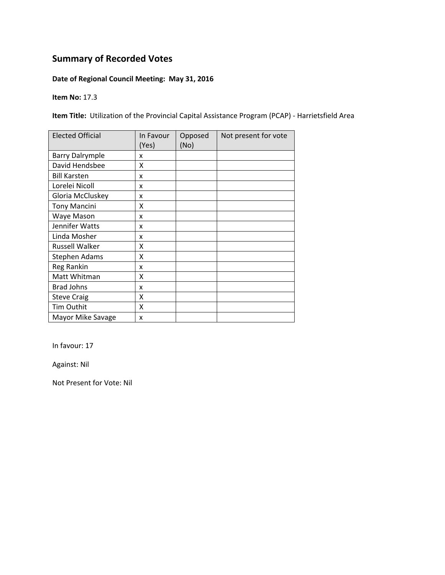### **Date of Regional Council Meeting: May 31, 2016**

**Item No:** 17.3

**Item Title:** Utilization of the Provincial Capital Assistance Program (PCAP) ‐ Harrietsfield Area

| <b>Elected Official</b> | In Favour<br>(Yes) | Opposed<br>(No) | Not present for vote |
|-------------------------|--------------------|-----------------|----------------------|
| <b>Barry Dalrymple</b>  | x                  |                 |                      |
| David Hendsbee          | x                  |                 |                      |
| <b>Bill Karsten</b>     | x                  |                 |                      |
| Lorelei Nicoll          | x                  |                 |                      |
| Gloria McCluskey        | x                  |                 |                      |
| <b>Tony Mancini</b>     | x                  |                 |                      |
| Waye Mason              | x                  |                 |                      |
| Jennifer Watts          | x                  |                 |                      |
| Linda Mosher            | x                  |                 |                      |
| <b>Russell Walker</b>   | X                  |                 |                      |
| <b>Stephen Adams</b>    | X                  |                 |                      |
| Reg Rankin              | x                  |                 |                      |
| Matt Whitman            | X                  |                 |                      |
| <b>Brad Johns</b>       | x                  |                 |                      |
| <b>Steve Craig</b>      | X                  |                 |                      |
| <b>Tim Outhit</b>       | X                  |                 |                      |
| Mayor Mike Savage       | X                  |                 |                      |

In favour: 17

Against: Nil